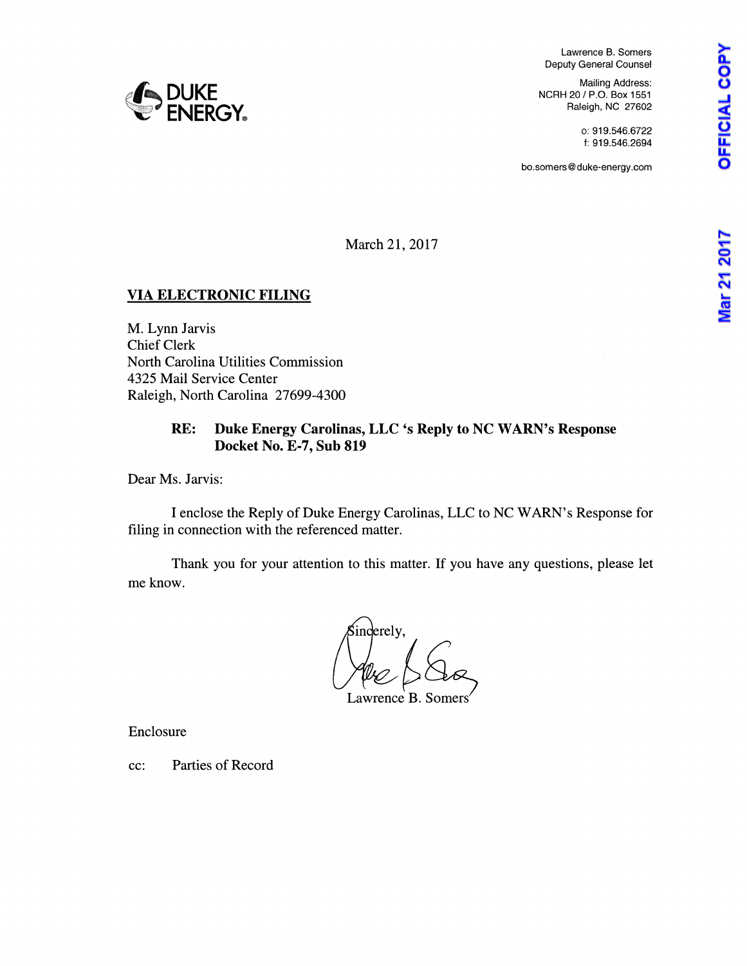Mar 21 2017

Lawrence B. Somers Deputy General Counsel

Mailing Address: NCRH 20 / P.O. Box 1551 Raleigh, NC 27602

> o: 919.546.6722 f: 919.546.2694

bo.somers@duke-energy.com

**e{-..DUKE WEINERGY®** 

March 21, 2017

# VIA ELECTRONIC FILING

M. Lynn Jarvis Chief Clerk North Carolina Utilities Commission 4325 Mail Service Center Raleigh, North Carolina 27699-4300

# RE: Duke Energy Carolinas, LLC 's Reply to NC WARN's Response Docket No. E-7, Sub 819

Dear Ms. Jarvis:

I enclose the Reply of Duke Energy Carolinas, LLC to NC WARN's Response for filing in connection with the referenced matter.

Thank you for your attention to this matter. If you have any questions, please let me know.

inderely,

Lawrence B. Somers

Enclosure

cc: Parties of Record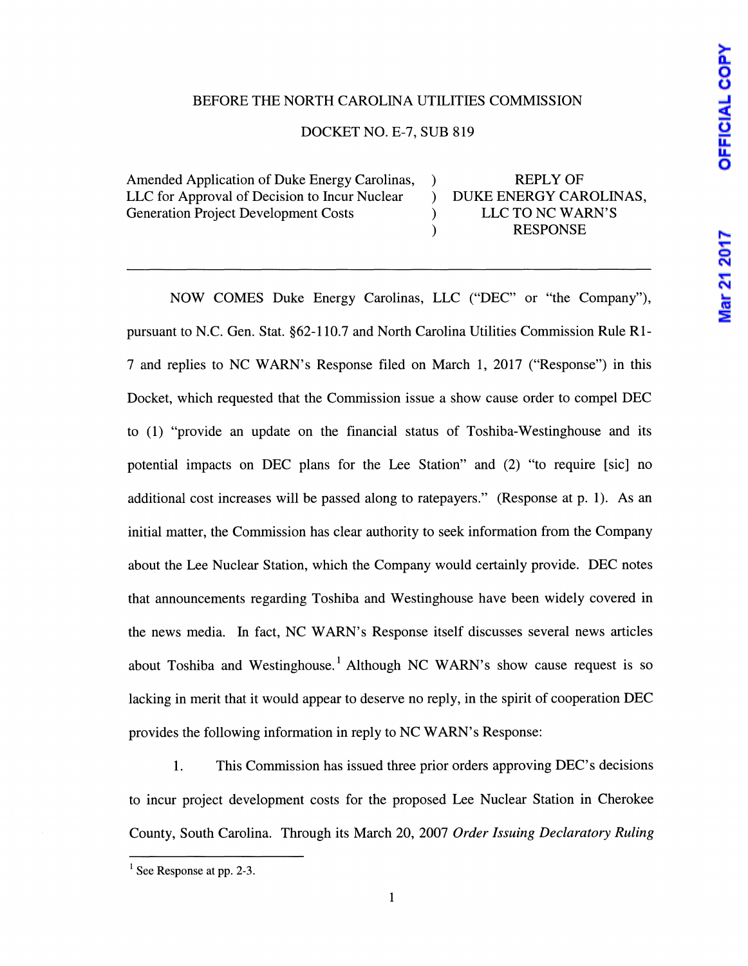# OFFICIAL COPY

# Mar 21 2017

## BEFORE THE NORTH CAROLINA UTILITIES COMMISSION

### DOCKET NO. E-7, SUB 819

Amended Application of Duke Energy Carolinas, LLC for Approval of Decision to Incur Nuclear Generation Project Development Costs

) REPLY OF ) DUKE ENERGY CAROLINAS, ) LLC TO NC WARN'S ) RESPONSE

NOW COMES Duke Energy Carolinas, LLC ("DEC" or "the Company"), pursuant to N.C. Gen. Stat. §62-110.7 and North Carolina Utilities Commission Rule RI-7 and replies to NC WARN' s Response filed on March 1, 2017 ("Response") in this Docket, which requested that the Commission issue a show cause order to compel DEC to (1) "provide an update on the financial status of Toshiba-Westinghouse and its potential impacts on DEC plans for the Lee Station" and (2) "to require [sic] no additional cost increases will be passed along to ratepayers." (Response at p. 1). As an initial matter, the Commission has clear authority to seek information from the Company about the Lee Nuclear Station, which the Company would certainly provide. DEC notes that announcements regarding Toshiba and Westinghouse have been widely covered in the news media. In fact, NC WARN's Response itself discusses several news articles about Toshiba and Westinghouse.<sup>1</sup> Although NC WARN's show cause request is so lacking in merit that it would appear to deserve no reply, in the spirit of cooperation DEC provides the following information in reply to NC WARN's Response:

1. This Commission has issued three prior orders approving DEC's decisions to incur project development costs for the proposed Lee Nuclear Station in Cherokee County, South Carolina. Through its March 20, 2007 *Order Issuing Declaratory Ruling* 

 $<sup>1</sup>$  See Response at pp. 2-3.</sup>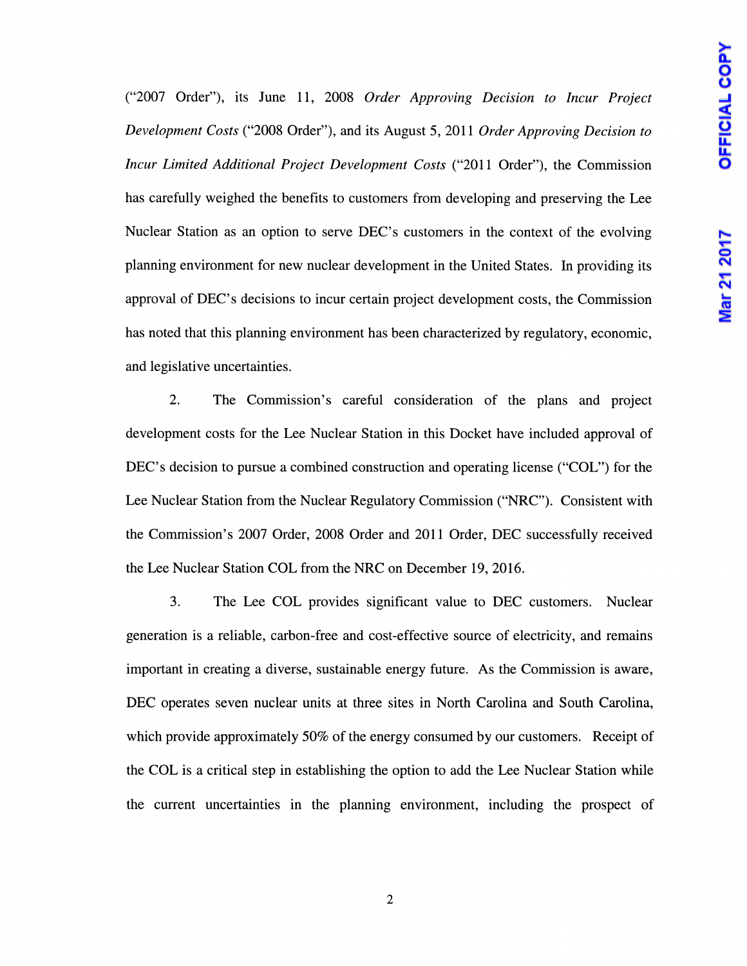("2007 Order"), its June 11, 2008 *Order Approving Decision to Incur Project Development Costs* ("2008 Order"), and its August 5, 2011 *Order Approving Decision to Incur Limited Additional Project Development Costs* ("2011 Order"), the Commission has carefully weighed the benefits to customers from developing and preserving the Lee Nuclear Station as an option to serve DEC's customers in the context of the evolving planning environment for new nuclear development in the United States. In providing its approval of DEC's decisions to incur certain project development costs, the Commission has noted that this planning environment has been characterized by regulatory, economic, and legislative uncertainties.

2. The Commission's careful consideration of the plans and project development costs for the Lee Nuclear Station in this Docket have included approval of DEC's decision to pursue a combined construction and operating license ("COL") for the Lee Nuclear Station from the Nuclear Regulatory Commission ("NRC"). Consistent with the Commission's 2007 Order, 2008 Order and 2011 Order, DEC successfully received the Lee Nuclear Station COL from the NRC on December 19, 2016.

3. The Lee COL provides significant value to DEC customers. Nuclear generation is a reliable, carbon-free and cost-effective source of electricity, and remains important in creating a diverse, sustainable energy future. As the Commission is aware, DEC operates seven nuclear units at three sites in North Carolina and South Carolina, which provide approximately 50% of the energy consumed by our customers. Receipt of the COL is a critical step in establishing the option to add the Lee Nuclear Station while the current uncertainties in the planning environment, including the prospect of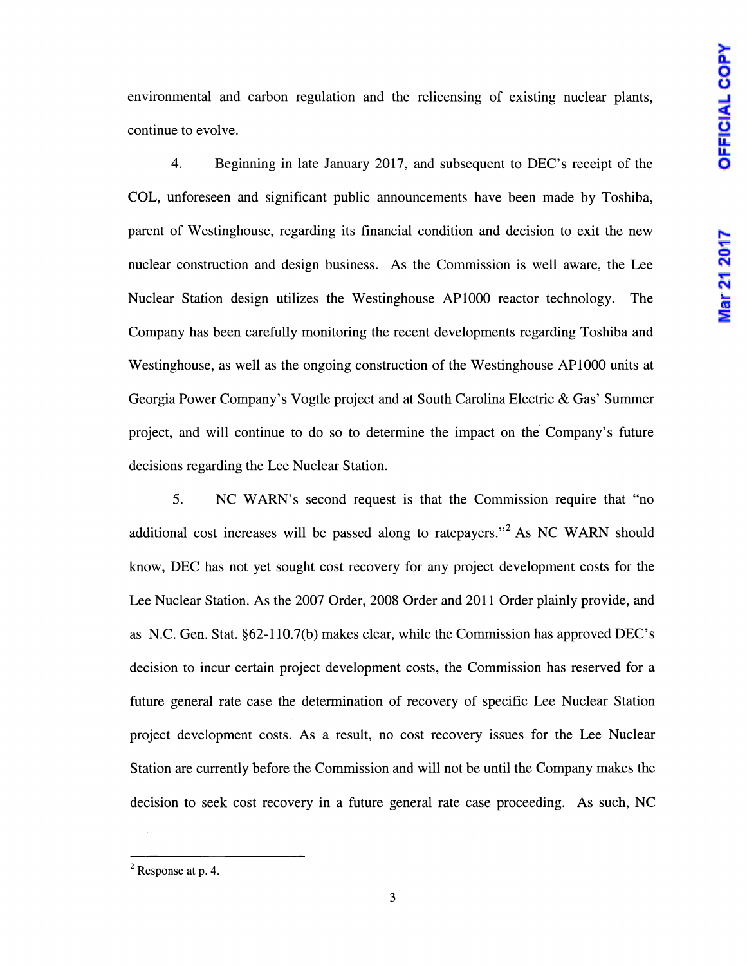environmental and carbon regulation and the relicensing of existing nuclear plants, continue to evolve.

4. Beginning in late January 2017, and subsequent to DEC's receipt of the COL, unforeseen and significant public announcements have been made by Toshiba, parent of Westinghouse, regarding its financial condition and decision to exit the new nuclear construction and design business. As the Commission is well aware, the Lee Nuclear Station design utilizes the Westinghouse APlOOO reactor technology. The Company has been carefully monitoring the recent developments regarding Toshiba and Westinghouse, as well as the ongoing construction of the Westinghouse APlOOO units at Georgia Power Company's Vogtle project and at South Carolina Electric & Gas' Summer project, and will continue to do so to determine the impact on the. Company's future decisions regarding the Lee Nuclear Station.

5. NC WARN's second request is that the Commission require that "no additional cost increases will be passed along to ratepayers."<sup>2</sup> As NC WARN should know, DEC has not yet sought cost recovery for any project development costs for the Lee Nuclear Station. As the 2007 Order, 2008 Order and 2011 Order plainly provide, and as N.C. Gen. Stat. §62-110.7(b) makes clear, while the Commission has approved DEC's decision to incur certain project development costs, the Commission has reserved for a future general rate case the determination of recovery of specific Lee Nuclear Station project development costs. As a result, no cost recovery issues for the Lee Nuclear Station are currently before the Commission and will not be until the Company makes the decision to seek cost recovery in a future general rate case proceeding. As such, NC

 $2$  Response at p. 4.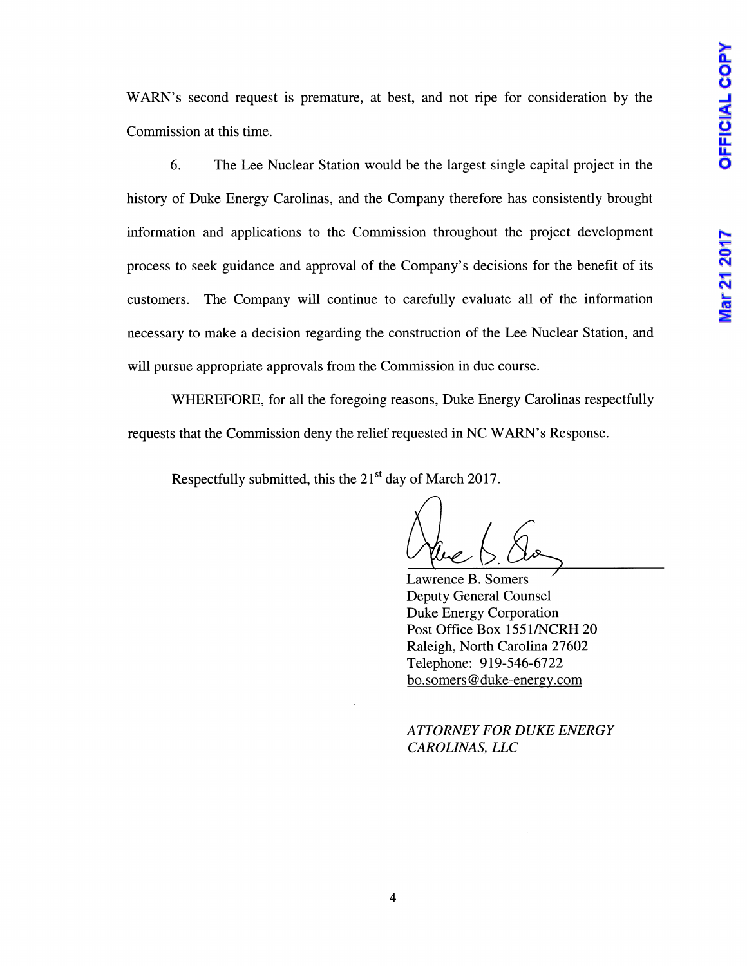WARN's second request is premature, at best, and not ripe for consideration by the Commission at this time.

6. The Lee Nuclear Station would be the largest single capital project in the history of Duke Energy Carolinas, and the Company therefore has consistently brought information and applications to the Commission throughout the project development process to seek guidance and approval of the Company's decisions for the benefit of its customers. The Company will continue to carefully evaluate all of the information necessary to make a decision regarding the construction of the Lee Nuclear Station, and will pursue appropriate approvals from the Commission in due course.

WHEREFORE, for all the foregoing reasons, Duke Energy Carolinas respectfully requests that the Commission deny the relief requested in NC W ARN's Response.

Respectfully submitted, this the  $21<sup>st</sup>$  day of March 2017.

Lawrence B. Somers Deputy General Counsel Duke Energy Corporation Post Office Box 1551/NCRH 20 Raleigh, North Carolina 27602 Telephone: 919-546-6722 bo.somers@duke-energy.com

*AITORNEY FOR DUKE ENERGY CAROLINAS, LLC*